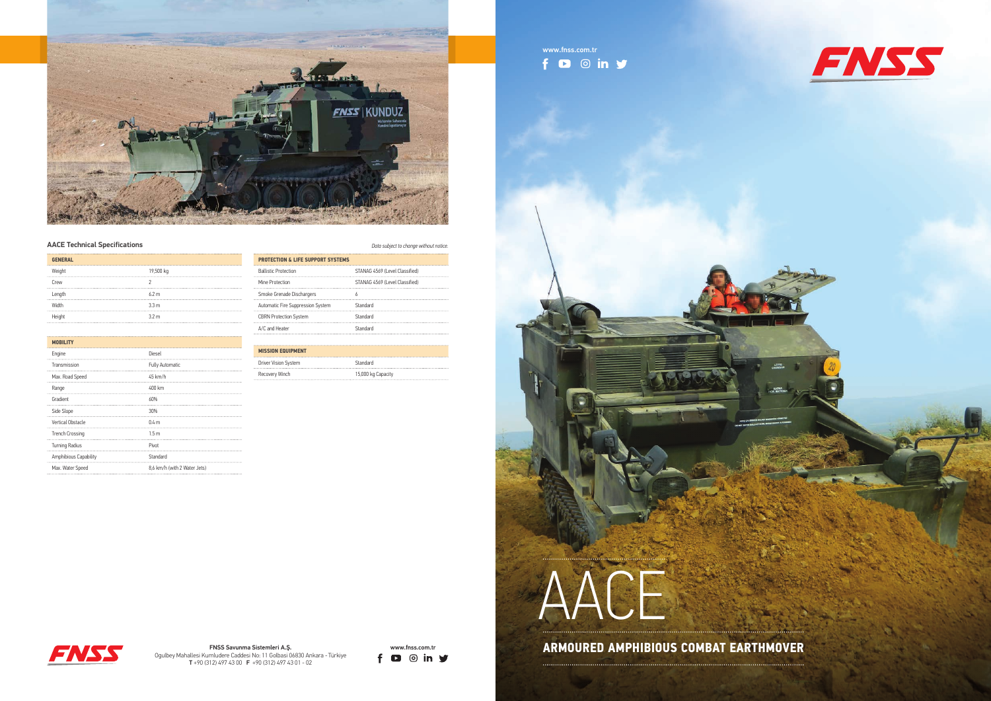

## www.fnss.com.tr  $f \bullet \circ in \mathcal{Y}$

**F EXAMPLE SECOND ARMOURED AMPHIBIOUS COMBAT EARTHMOVER** 







FNSS

Ogulbey Mahallesi Kumludere Caddesi No: 11 Golbasi 06830 Ankara - Türkiye T +90 (312) 497 43 00 F +90 (312) 497 43 01 - 02



## **AACE Technical Specifications** *Data subject to change without notice.*

| <b>GENERAL</b> |                  |
|----------------|------------------|
| Weight         | 19,500 kg        |
| Crew           |                  |
| Length         | 6.2 m            |
| Width          | 3.3 <sub>m</sub> |
| Height<br>     | 3.2 <sub>m</sub> |

| <b>MOBILITY</b>        |                              |
|------------------------|------------------------------|
| Engine                 | Diesel                       |
| Transmission           | <b>Fully Automatic</b>       |
| Max. Road Speed        | 45 km/h                      |
| Range                  | 400 km                       |
| Gradient               | 60%                          |
| Side Slope             | 30%                          |
| Vertical Obstacle      | 0.4 <sub>m</sub>             |
| <b>Trench Crossing</b> | 1.5 <sub>m</sub>             |
| <b>Turning Radius</b>  | Pivot                        |
| Amphibious Capability  | Standard                     |
| Max. Water Speed       | 8,6 km/h (with 2 Water Jets) |

| STANAG 4569 (Level Classified)<br>STANAG 4569 (Level Classified) |
|------------------------------------------------------------------|
|                                                                  |
|                                                                  |
|                                                                  |
| Standard                                                         |
| Standard                                                         |
| Standard                                                         |
|                                                                  |

| <b>MISSION EQUIPMENT</b> |                    |
|--------------------------|--------------------|
| Driver Vision System     | Standard           |
| Recovery Winch           | 15,000 kg Capacity |